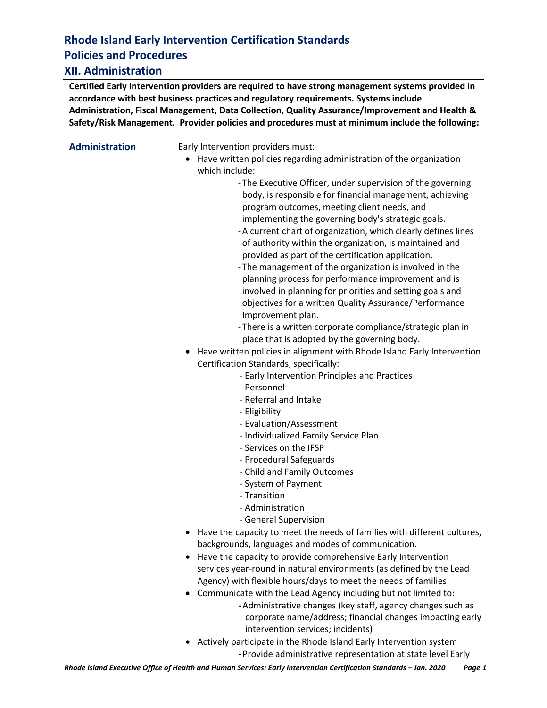# **Rhode Island Early Intervention Certification Standards Policies and Procedures**

#### **XII. Administration**

**Certified Early Intervention providers are required to have strong management systems provided in accordance with best business practices and regulatory requirements. Systems include Administration, Fiscal Management, Data Collection, Quality Assurance/Improvement and Health & Safety/Risk Management. Provider policies and procedures must at minimum include the following:**

**Administration** Early Intervention providers must:

• Have written policies regarding administration of the organization which include:

> -The Executive Officer, under supervision of the governing body, is responsible for financial management, achieving program outcomes, meeting client needs, and implementing the governing body's strategic goals.

- -A current chart of organization, which clearly defines lines of authority within the organization, is maintained and provided as part of the certification application.
- -The management of the organization is involved in the planning process for performance improvement and is involved in planning for priorities and setting goals and objectives for a written Quality Assurance/Performance Improvement plan.
- -There is a written corporate compliance/strategic plan in place that is adopted by the governing body.
- Have written policies in alignment with Rhode Island Early Intervention Certification Standards, specifically:
	- Early Intervention Principles and Practices
	- Personnel
	- Referral and Intake
	- Eligibility
	- Evaluation/Assessment
	- Individualized Family Service Plan
	- Services on the IFSP
	- Procedural Safeguards
	- Child and Family Outcomes
	- System of Payment
	- Transition
	- Administration
	- General Supervision
- Have the capacity to meet the needs of families with different cultures, backgrounds, languages and modes of communication.
- Have the capacity to provide comprehensive Early Intervention services year-round in natural environments (as defined by the Lead Agency) with flexible hours/days to meet the needs of families
- Communicate with the Lead Agency including but not limited to: **-**Administrative changes (key staff, agency changes such as corporate name/address; financial changes impacting early intervention services; incidents)
- Actively participate in the Rhode Island Early Intervention system **-**Provide administrative representation at state level Early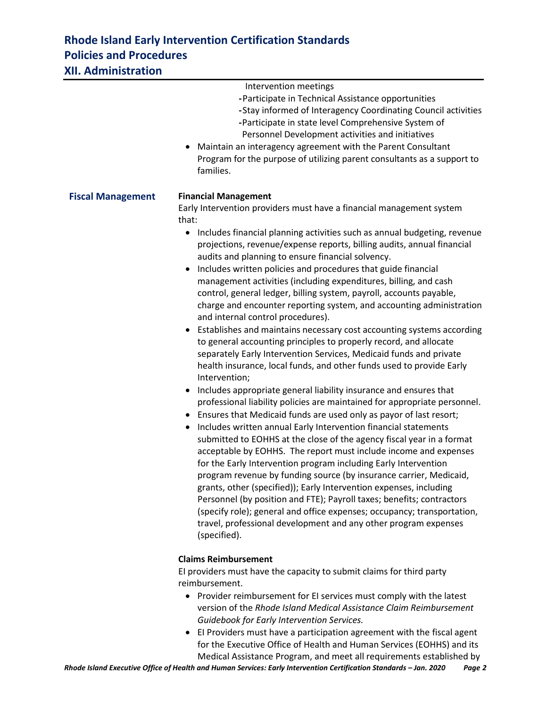#### **Rhode Island Early Intervention Certification Standards Policies and Procedures XII. Administration**

|                          | Intervention meetings<br>-Participate in Technical Assistance opportunities<br>-Stay informed of Interagency Coordinating Council activities<br>-Participate in state level Comprehensive System of<br>Personnel Development activities and initiatives<br>Maintain an interagency agreement with the Parent Consultant<br>Program for the purpose of utilizing parent consultants as a support to<br>families.                                                                                                                                                                                                                                                                                                                                                                                                                                                                                                                                                                                                                                                                                                                                                                                                                                                                                                                                                                                                                                                                                                                                                                                                                                                                                                                                                                                                                                                                                    |
|--------------------------|----------------------------------------------------------------------------------------------------------------------------------------------------------------------------------------------------------------------------------------------------------------------------------------------------------------------------------------------------------------------------------------------------------------------------------------------------------------------------------------------------------------------------------------------------------------------------------------------------------------------------------------------------------------------------------------------------------------------------------------------------------------------------------------------------------------------------------------------------------------------------------------------------------------------------------------------------------------------------------------------------------------------------------------------------------------------------------------------------------------------------------------------------------------------------------------------------------------------------------------------------------------------------------------------------------------------------------------------------------------------------------------------------------------------------------------------------------------------------------------------------------------------------------------------------------------------------------------------------------------------------------------------------------------------------------------------------------------------------------------------------------------------------------------------------------------------------------------------------------------------------------------------------|
| <b>Fiscal Management</b> | <b>Financial Management</b><br>Early Intervention providers must have a financial management system<br>that:<br>Includes financial planning activities such as annual budgeting, revenue<br>$\bullet$<br>projections, revenue/expense reports, billing audits, annual financial<br>audits and planning to ensure financial solvency.<br>Includes written policies and procedures that guide financial<br>management activities (including expenditures, billing, and cash<br>control, general ledger, billing system, payroll, accounts payable,<br>charge and encounter reporting system, and accounting administration<br>and internal control procedures).<br>Establishes and maintains necessary cost accounting systems according<br>to general accounting principles to properly record, and allocate<br>separately Early Intervention Services, Medicaid funds and private<br>health insurance, local funds, and other funds used to provide Early<br>Intervention;<br>Includes appropriate general liability insurance and ensures that<br>$\bullet$<br>professional liability policies are maintained for appropriate personnel.<br>Ensures that Medicaid funds are used only as payor of last resort;<br>Includes written annual Early Intervention financial statements<br>$\bullet$<br>submitted to EOHHS at the close of the agency fiscal year in a format<br>acceptable by EOHHS. The report must include income and expenses<br>for the Early Intervention program including Early Intervention<br>program revenue by funding source (by insurance carrier, Medicaid,<br>grants, other (specified)); Early Intervention expenses, including<br>Personnel (by position and FTE); Payroll taxes; benefits; contractors<br>(specify role); general and office expenses; occupancy; transportation,<br>travel, professional development and any other program expenses<br>(specified). |
|                          | <b>Claims Reimbursement</b><br>المستواط سيمتك والمستواط بالتمسوا بالمراجع والمتعاط سواري والمراط وبالمر                                                                                                                                                                                                                                                                                                                                                                                                                                                                                                                                                                                                                                                                                                                                                                                                                                                                                                                                                                                                                                                                                                                                                                                                                                                                                                                                                                                                                                                                                                                                                                                                                                                                                                                                                                                            |

EI providers must have the capacity to submit claims for third party reimbursement.

- Provider reimbursement for EI services must comply with the latest version of the *Rhode Island Medical Assistance Claim Reimbursement Guidebook for Early Intervention Services.*
- EI Providers must have a participation agreement with the fiscal agent for the Executive Office of Health and Human Services (EOHHS) and its Medical Assistance Program, and meet all requirements established by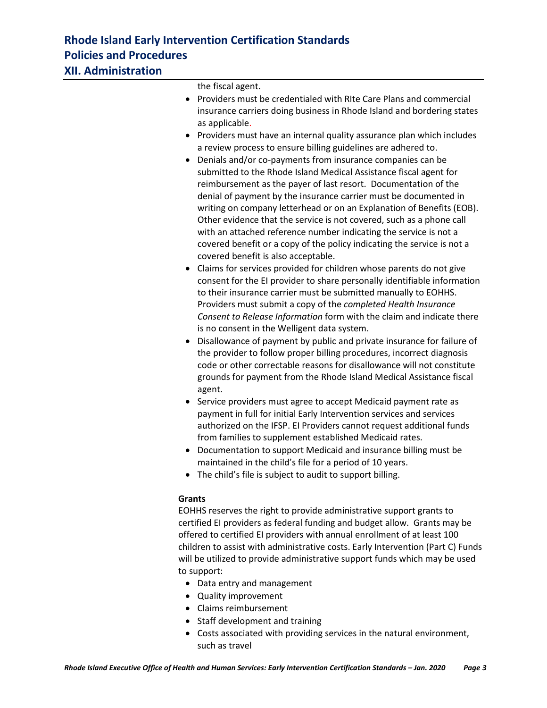the fiscal agent.

- Providers must be credentialed with RIte Care Plans and commercial insurance carriers doing business in Rhode Island and bordering states as applicable.
- Providers must have an internal quality assurance plan which includes a review process to ensure billing guidelines are adhered to.
- Denials and/or co-payments from insurance companies can be submitted to the Rhode Island Medical Assistance fiscal agent for reimbursement as the payer of last resort. Documentation of the denial of payment by the insurance carrier must be documented in writing on company letterhead or on an Explanation of Benefits (EOB). Other evidence that the service is not covered, such as a phone call with an attached reference number indicating the service is not a covered benefit or a copy of the policy indicating the service is not a covered benefit is also acceptable.
- Claims for services provided for children whose parents do not give consent for the EI provider to share personally identifiable information to their insurance carrier must be submitted manually to EOHHS. Providers must submit a copy of the *completed Health Insurance Consent to Release Information* form with the claim and indicate there is no consent in the Welligent data system.
- Disallowance of payment by public and private insurance for failure of the provider to follow proper billing procedures, incorrect diagnosis code or other correctable reasons for disallowance will not constitute grounds for payment from the Rhode Island Medical Assistance fiscal agent.
- Service providers must agree to accept Medicaid payment rate as payment in full for initial Early Intervention services and services authorized on the IFSP. EI Providers cannot request additional funds from families to supplement established Medicaid rates.
- Documentation to support Medicaid and insurance billing must be maintained in the child's file for a period of 10 years.
- The child's file is subject to audit to support billing.

#### **Grants**

EOHHS reserves the right to provide administrative support grants to certified EI providers as federal funding and budget allow. Grants may be offered to certified EI providers with annual enrollment of at least 100 children to assist with administrative costs. Early Intervention (Part C) Funds will be utilized to provide administrative support funds which may be used to support:

- Data entry and management
- Quality improvement
- Claims reimbursement
- Staff development and training
- Costs associated with providing services in the natural environment, such as travel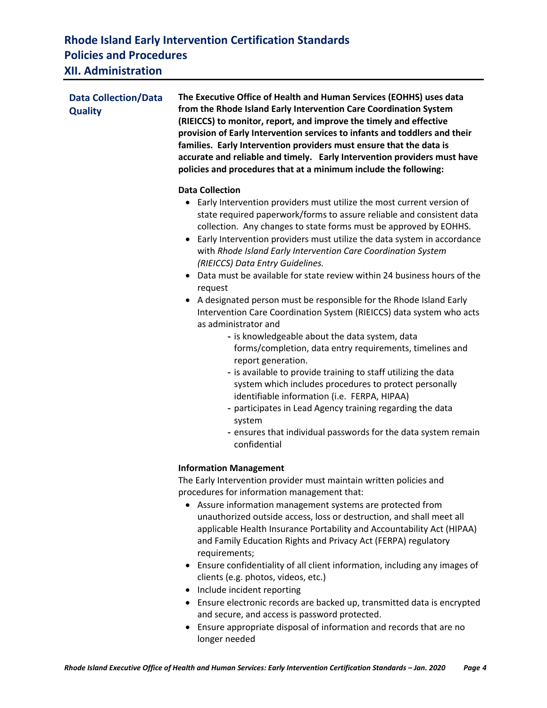### **Rhode Island Early Intervention Certification Standards Policies and Procedures XII. Administration**

| <b>Data Collection/Data</b><br><b>Quality</b> | The Executive Office of Health and Human Services (EOHHS) uses data<br>from the Rhode Island Early Intervention Care Coordination System<br>(RIEICCS) to monitor, report, and improve the timely and effective<br>provision of Early Intervention services to infants and toddlers and their<br>families. Early Intervention providers must ensure that the data is<br>accurate and reliable and timely. Early Intervention providers must have<br>policies and procedures that at a minimum include the following:                                                                                                                                                                                                                                                                                                                                                                                                                                                                                                                                                                                                                                                                 |
|-----------------------------------------------|-------------------------------------------------------------------------------------------------------------------------------------------------------------------------------------------------------------------------------------------------------------------------------------------------------------------------------------------------------------------------------------------------------------------------------------------------------------------------------------------------------------------------------------------------------------------------------------------------------------------------------------------------------------------------------------------------------------------------------------------------------------------------------------------------------------------------------------------------------------------------------------------------------------------------------------------------------------------------------------------------------------------------------------------------------------------------------------------------------------------------------------------------------------------------------------|
|                                               | <b>Data Collection</b><br>• Early Intervention providers must utilize the most current version of<br>state required paperwork/forms to assure reliable and consistent data<br>collection. Any changes to state forms must be approved by EOHHS.<br>Early Intervention providers must utilize the data system in accordance<br>$\bullet$<br>with Rhode Island Early Intervention Care Coordination System<br>(RIEICCS) Data Entry Guidelines.<br>• Data must be available for state review within 24 business hours of the<br>request<br>A designated person must be responsible for the Rhode Island Early<br>Intervention Care Coordination System (RIEICCS) data system who acts<br>as administrator and<br>- is knowledgeable about the data system, data<br>forms/completion, data entry requirements, timelines and<br>report generation.<br>- is available to provide training to staff utilizing the data<br>system which includes procedures to protect personally<br>identifiable information (i.e. FERPA, HIPAA)<br>- participates in Lead Agency training regarding the data<br>system<br>- ensures that individual passwords for the data system remain<br>confidential |
|                                               | <b>Information Management</b><br>The Early Intervention provider must maintain written policies and<br>procedures for information management that:<br>• Assure information management systems are protected from<br>unauthorized outside access, loss or destruction, and shall meet all<br>applicable Health Insurance Portability and Accountability Act (HIPAA)<br>and Family Education Rights and Privacy Act (FERPA) regulatory<br>requirements;<br>Ensure confidentiality of all client information, including any images of<br>clients (e.g. photos, videos, etc.)                                                                                                                                                                                                                                                                                                                                                                                                                                                                                                                                                                                                           |

- Include incident reporting
- Ensure electronic records are backed up, transmitted data is encrypted and secure, and access is password protected.
- Ensure appropriate disposal of information and records that are no longer needed